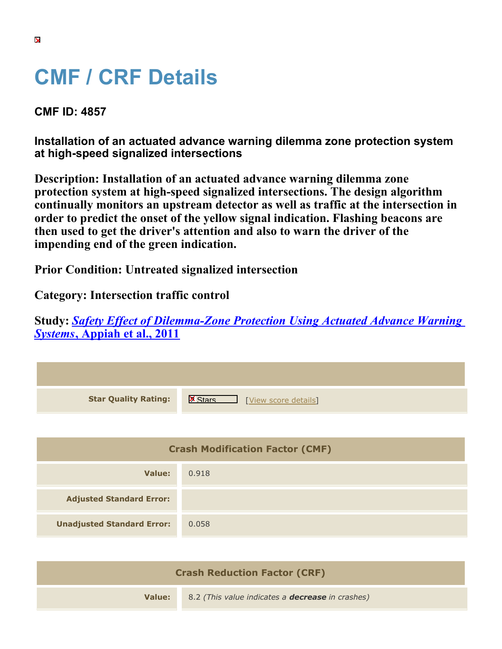## **CMF / CRF Details**

**CMF ID: 4857**

**Installation of an actuated advance warning dilemma zone protection system at high-speed signalized intersections**

**Description: Installation of an actuated advance warning dilemma zone protection system at high-speed signalized intersections. The design algorithm continually monitors an upstream detector as well as traffic at the intersection in order to predict the onset of the yellow signal indication. Flashing beacons are then used to get the driver's attention and also to warn the driver of the impending end of the green indication.**

**Prior Condition: Untreated signalized intersection**

**Category: Intersection traffic control**

**Study:** *[Safety Effect of Dilemma-Zone Protection Using Actuated Advance Warning](https://cmfclearinghouse.org/study_detail.cfm?stid=311) [Systems](https://cmfclearinghouse.org/study_detail.cfm?stid=311)***[, Appiah et al., 2011](https://cmfclearinghouse.org/study_detail.cfm?stid=311)**

| <b>Star Quality Rating:</b>            | $\mathbf{X}$<br>[View score details] |  |
|----------------------------------------|--------------------------------------|--|
|                                        |                                      |  |
| <b>Crash Modification Factor (CMF)</b> |                                      |  |
| <b>Value:</b>                          | 0.918                                |  |
| <b>Adjusted Standard Error:</b>        |                                      |  |
| <b>Unadjusted Standard Error:</b>      | 0.058                                |  |

| <b>Crash Reduction Factor (CRF)</b> |                                                         |
|-------------------------------------|---------------------------------------------------------|
| Value:                              | 8.2 (This value indicates a <b>decrease</b> in crashes) |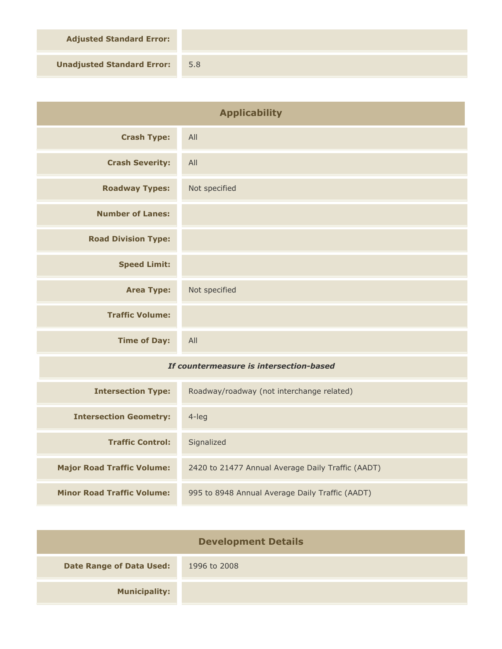**Adjusted Standard Error:**

**Unadjusted Standard Error:** 5.8

| <b>Applicability</b>                    |                                                   |
|-----------------------------------------|---------------------------------------------------|
| <b>Crash Type:</b>                      | All                                               |
| <b>Crash Severity:</b>                  | All                                               |
| <b>Roadway Types:</b>                   | Not specified                                     |
| <b>Number of Lanes:</b>                 |                                                   |
| <b>Road Division Type:</b>              |                                                   |
| <b>Speed Limit:</b>                     |                                                   |
| <b>Area Type:</b>                       | Not specified                                     |
| <b>Traffic Volume:</b>                  |                                                   |
| <b>Time of Day:</b>                     | All                                               |
| If countermeasure is intersection-based |                                                   |
| <b>Intersection Type:</b>               | Roadway/roadway (not interchange related)         |
| <b>Intersection Geometry:</b>           | $4$ -leg                                          |
| <b>Traffic Control:</b>                 | Signalized                                        |
| <b>Major Road Traffic Volume:</b>       | 2420 to 21477 Annual Average Daily Traffic (AADT) |
| <b>Minor Road Traffic Volume:</b>       | 995 to 8948 Annual Average Daily Traffic (AADT)   |

| <b>Development Details</b>      |              |
|---------------------------------|--------------|
| <b>Date Range of Data Used:</b> | 1996 to 2008 |
| <b>Municipality:</b>            |              |